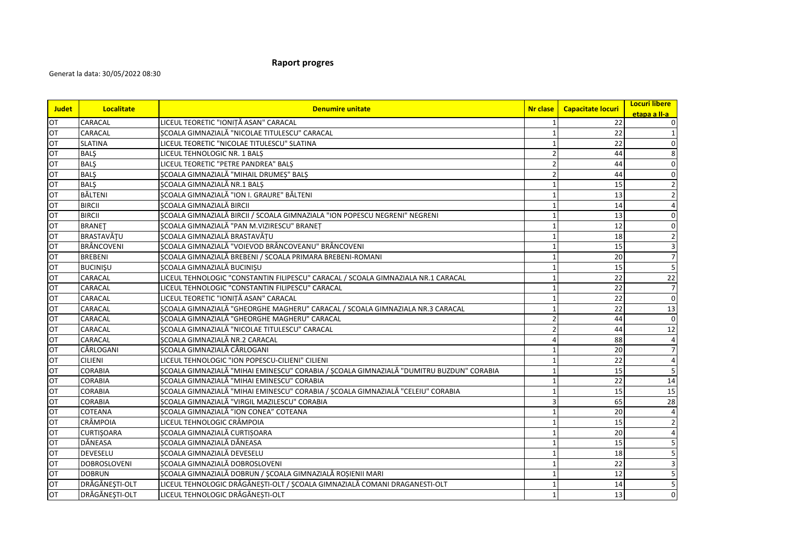## **Raport progres**

## Generat la data: 30/05/2022 08:30

| <b>Judet</b> | Localitate          | <b>Denumire unitate</b>                                                                 |                | Nr clase   Capacitate locuri | <b>Locuri libere</b><br>etapa a II-a |
|--------------|---------------------|-----------------------------------------------------------------------------------------|----------------|------------------------------|--------------------------------------|
| <b>OT</b>    | CARACAL             | LICEUL TEORETIC "IONITĂ ASAN" CARACAL                                                   |                | 22                           |                                      |
| <b>OT</b>    | CARACAL             | SCOALA GIMNAZIALĂ "NICOLAE TITULESCU" CARACAL                                           |                | 22                           |                                      |
| OT           | <b>SLATINA</b>      | LICEUL TEORETIC "NICOLAE TITULESCU" SLATINA                                             |                | 22                           | 0                                    |
| <b>OT</b>    | <b>BALŞ</b>         | LICEUL TEHNOLOGIC NR. 1 BALȘ                                                            |                | 44                           | 8                                    |
| <b>OT</b>    | <b>BALŞ</b>         | LICEUL TEORETIC "PETRE PANDREA" BALS                                                    |                | 44                           | $\mathbf 0$                          |
| OT           | <b>BALŞ</b>         | ȘCOALA GIMNAZIALĂ "MIHAIL DRUMEȘ" BALȘ                                                  |                | 44                           | 0                                    |
| OT           | <b>BALS</b>         | ȘCOALA GIMNAZIALĂ NR.1 BALȘ                                                             |                | 15                           | $\overline{2}$                       |
| <b>OT</b>    | BĂLTENI             | SCOALA GIMNAZIALĂ "ION I. GRAURE" BĂLTENI                                               |                | 13                           | $\overline{2}$                       |
| OT           | <b>BIRCII</b>       | ȘCOALA GIMNAZIALĂ BIRCII                                                                |                | 14                           | $\overline{4}$                       |
| <b>OT</b>    | <b>BIRCII</b>       | SCOALA GIMNAZIALĂ BIRCII / SCOALA GIMNAZIALA "ION POPESCU NEGRENI" NEGRENI              |                | 13                           | 0                                    |
| <b>OT</b>    | <b>BRANET</b>       | ȘCOALA GIMNAZIALĂ "PAN M.VIZIRESCU" BRANEȚ                                              |                | 12                           | 0                                    |
| <b>OT</b>    | BRASTAVĂȚU          | ȘCOALA GIMNAZIALĂ BRASTAVĂȚU                                                            |                | 18                           | $\overline{2}$                       |
| OT           | <b>BRÂNCOVENI</b>   | ȘCOALA GIMNAZIALĂ "VOIEVOD BRÂNCOVEANU" BRÂNCOVENI                                      |                | 15                           | $\overline{\mathbf{3}}$              |
| <b>OT</b>    | <b>BREBENI</b>      | ȘCOALA GIMNAZIALĂ BREBENI / SCOALA PRIMARA BREBENI-ROMANI                               |                | 20                           | $\overline{7}$                       |
| <b>OT</b>    | <b>BUCINIŞU</b>     | ȘCOALA GIMNAZIALĂ BUCINIȘU                                                              |                | 15                           | 5                                    |
| <b>OT</b>    | CARACAL             | LICEUL TEHNOLOGIC "CONSTANTIN FILIPESCU" CARACAL / SCOALA GIMNAZIALA NR.1 CARACAL       | $\mathbf{1}$   | 22                           | 22                                   |
| <b>OT</b>    | CARACAL             | LICEUL TEHNOLOGIC "CONSTANTIN FILIPESCU" CARACAL                                        | $\mathbf{1}$   | 22                           | $\overline{7}$                       |
| <b>OT</b>    | CARACAL             | LICEUL TEORETIC "IONITĂ ASAN" CARACAL                                                   |                | 22                           | $\pmb{0}$                            |
| OT           | CARACAL             | SCOALA GIMNAZIALĂ "GHEORGHE MAGHERU" CARACAL / SCOALA GIMNAZIALA NR.3 CARACAL           |                | 22                           | 13                                   |
| <b>OT</b>    | <b>CARACAL</b>      | SCOALA GIMNAZIALĂ "GHEORGHE MAGHERU" CARACAL                                            | $\overline{2}$ | 44                           | $\mathbf 0$                          |
| <b>OT</b>    | <b>CARACAL</b>      | SCOALA GIMNAZIALĂ "NICOLAE TITULESCU" CARACAL                                           |                | 44                           | 12                                   |
| <b>OT</b>    | CARACAL             | SCOALA GIMNAZIALĂ NR.2 CARACAL                                                          |                | 88                           | 4                                    |
| <b>OT</b>    | CÂRLOGANI           | SCOALA GIMNAZIALĂ CÂRLOGANI                                                             |                | 20                           | $\overline{7}$                       |
| <b>OT</b>    | <b>CILIENI</b>      | LICEUL TEHNOLOGIC "ION POPESCU-CILIENI" CILIENI                                         |                | 22                           | $\overline{4}$                       |
| <b>OT</b>    | <b>CORABIA</b>      | SCOALA GIMNAZIALĂ "MIHAI EMINESCU" CORABIA / SCOALA GIMNAZIALĂ "DUMITRU BUZDUN" CORABIA | $\mathbf{1}$   | 15                           | 5                                    |
| OT           | <b>CORABIA</b>      | ȘCOALA GIMNAZIALĂ "MIHAI EMINESCU" CORABIA                                              | 1              | 22                           | 14                                   |
| OT           | <b>CORABIA</b>      | ȘCOALA GIMNAZIALĂ "MIHAI EMINESCU" CORABIA / ȘCOALA GIMNAZIALĂ "CELEIU" CORABIA         | 1              | 15                           | 15                                   |
| <b>OT</b>    | <b>CORABIA</b>      | ȘCOALA GIMNAZIALĂ "VIRGIL MAZILESCU" CORABIA                                            | 3              | 65                           | 28                                   |
| <b>OT</b>    | <b>COTEANA</b>      | ȘCOALA GIMNAZIALĂ "ION CONEA" COTEANA                                                   |                | 20                           | 4                                    |
| OT           | <b>CRÂMPOIA</b>     | LICEUL TEHNOLOGIC CRÂMPOIA                                                              |                | 15                           | $\mathbf 2$                          |
| <b>OT</b>    | <b>CURTIŞOARA</b>   | SCOALA GIMNAZIALĂ CURTISOARA                                                            |                | 20                           | $\overline{4}$                       |
| <b>OT</b>    | DĂNEASA             | SCOALA GIMNAZIALĂ DĂNEASA                                                               |                | 15                           | 5                                    |
| <b>OT</b>    | <b>DEVESELU</b>     | SCOALA GIMNAZIALĂ DEVESELU                                                              |                | 18                           | $\overline{\mathbf{5}}$              |
| <b>OT</b>    | <b>DOBROSLOVENI</b> | SCOALA GIMNAZIALĂ DOBROSLOVENI                                                          |                | 22                           | 3                                    |
| <b>OT</b>    | <b>DOBRUN</b>       | ȘCOALA GIMNAZIALĂ DOBRUN / ȘCOALA GIMNAZIALĂ ROȘIENII MARI                              |                | 12                           | 5                                    |
| OT           | DRĂGĂNEȘTI-OLT      | LICEUL TEHNOLOGIC DRĂGĂNEȘTI-OLT / ȘCOALA GIMNAZIALĂ COMANI DRAGANESTI-OLT              |                | 14                           | 5                                    |
| <b>OT</b>    | DRĂGĂNEȘTI-OLT      | LICEUL TEHNOLOGIC DRĂGĂNEȘTI-OLT                                                        | 1              | 13                           | 0                                    |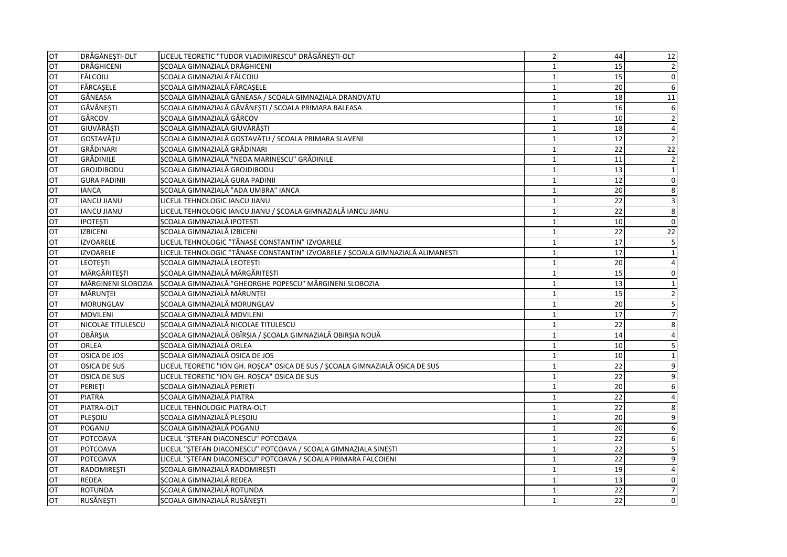| OT              | DRĂGĂNEȘTI-OLT      | LICEUL TEORETIC "TUDOR VLADIMIRESCU" DRĂGĂNEȘTI-OLT                            | $\overline{2}$ | 44<br>12             |
|-----------------|---------------------|--------------------------------------------------------------------------------|----------------|----------------------|
| OT              | <b>DRĂGHICENI</b>   | ȘCOALA GIMNAZIALĂ DRĂGHICENI                                                   |                | 15                   |
| OT              | FĂLCOIU             | SCOALA GIMNAZIALĂ FĂLCOIU                                                      |                | 15<br>0              |
| $\overline{OT}$ | FÄRCAŞELE           | ȘCOALA GIMNAZIALĂ FĂRCAȘELE                                                    |                | 20                   |
| OT              | GĂNEASA             | ȘCOALA GIMNAZIALĂ GĂNEASA / SCOALA GIMNAZIALA DRANOVATU                        |                | 18<br>11             |
| $\overline{or}$ | GĂVĂNEȘTI           | ȘCOALA GIMNAZIALĂ GĂVĂNEȘTI / SCOALA PRIMARA BALEASA                           |                | 16                   |
| $\overline{OT}$ | GÂRCOV              | ȘCOALA GIMNAZIALĂ GÂRCOV                                                       |                | 10                   |
| <b>OT</b>       | GIUVĂRĂȘTI          | ȘCOALA GIMNAZIALĂ GIUVĂRĂȘTI                                                   |                | 18                   |
| <b>OT</b>       | <b>GOSTAVĂTU</b>    | ȘCOALA GIMNAZIALĂ GOSTAVĂȚU / SCOALA PRIMARA SLAVENI                           |                | 12                   |
| OT              | GRĂDINARI           | ȘCOALA GIMNAZIALĂ GRĂDINARI                                                    |                | 22<br>22             |
| <b>OT</b>       | GRĂDINILE           | ȘCOALA GIMNAZIALĂ "NEDA MARINESCU" GRĂDINILE                                   |                | 11                   |
| $\overline{OT}$ | <b>GROJDIBODU</b>   | ȘCOALA GIMNAZIALĂ GROJDIBODU                                                   |                | 13<br>1              |
| OT              | <b>GURA PADINII</b> | ȘCOALA GIMNAZIALĂ GURA PADINII                                                 |                | 12<br>0              |
| $\overline{OT}$ | <b>IANCA</b>        | ȘCOALA GIMNAZIALĂ "ADA UMBRA" IANCA                                            |                | 20<br>8              |
| OT              | <b>IANCU JIANU</b>  | LICEUL TEHNOLOGIC IANCU JIANU                                                  |                | 22                   |
| OT              | <b>IANCU JIANU</b>  | LICEUL TEHNOLOGIC IANCU JIANU / ȘCOALA GIMNAZIALĂ IANCU JIANU                  |                | 22<br>8              |
| $\overline{OT}$ | <b>IPOTEȘTI</b>     | ȘCOALA GIMNAZIALĂ IPOTEȘTI                                                     |                | 10<br>$\Omega$       |
| OT              | <b>IZBICENI</b>     | ȘCOALA GIMNAZIALĂ IZBICENI                                                     |                | 22<br>22             |
| $\overline{or}$ | <b>IZVOARELE</b>    | LICEUL TEHNOLOGIC "TĂNASE CONSTANTIN" IZVOARELE                                |                | 17                   |
| OT              | <b>IZVOARELE</b>    | LICEUL TEHNOLOGIC "TĂNASE CONSTANTIN" IZVOARELE / ȘCOALA GIMNAZIALĂ ALIMANESTI |                | 17                   |
| $\overline{OT}$ | LEOTEȘTI            | ȘCOALA GIMNAZIALĂ LEOTEȘTI                                                     |                | 20                   |
| OT              | MĂRGĂRITEȘTI        | ȘCOALA GIMNAZIALĂ MĂRGĂRITEȘTI                                                 |                | 15<br>$\mathbf 0$    |
| OT              | MĂRGINENI SLOBOZIA  | ȘCOALA GIMNAZIALĂ "GHEORGHE POPESCU" MĂRGINENI SLOBOZIA                        |                | 13<br>1              |
| OT              | MĂRUNȚEI            | ȘCOALA GIMNAZIALĂ MĂRUNȚEI                                                     |                | 15                   |
| $\overline{or}$ | MORUNGLAV           | ȘCOALA GIMNAZIALĂ MORUNGLAV                                                    |                | 20                   |
| OT              | <b>MOVILENI</b>     | ȘCOALA GIMNAZIALĂ MOVILENI                                                     |                | 17                   |
| OT              | NICOLAE TITULESCU   | ȘCOALA GIMNAZIALĂ NICOLAE TITULESCU                                            |                | 22<br>8              |
| OT              | OBÂRȘIA             | ȘCOALA GIMNAZIALĂ OBÎRȘIA / ȘCOALA GIMNAZIALĂ OBIRȘIA NOUĂ                     |                | 14                   |
| $\overline{or}$ | ORLEA               | ȘCOALA GIMNAZIALĂ ORLEA                                                        |                | 10                   |
| OT              | <b>OSICA DE JOS</b> | ȘCOALA GIMNAZIALĂ OSICA DE JOS                                                 |                | 10                   |
| OT              | <b>OSICA DE SUS</b> | LICEUL TEORETIC "ION GH. ROȘCA" OSICA DE SUS / ȘCOALA GIMNAZIALĂ OSICA DE SUS  |                | 22<br>9              |
| <b>OT</b>       | <b>OSICA DE SUS</b> | LICEUL TEORETIC "ION GH. ROȘCA" OSICA DE SUS                                   |                | 22<br>9              |
| OT              | PERIETI             | ȘCOALA GIMNAZIALĂ PERIEȚI                                                      |                | 20<br>6              |
| $\overline{OT}$ | <b>PIATRA</b>       | SCOALA GIMNAZIALĂ PIATRA                                                       |                | 22                   |
| $\overline{OT}$ | PIATRA-OLT          | LICEUL TEHNOLOGIC PIATRA-OLT                                                   |                | 22<br>8              |
| $\overline{or}$ | PLESOIU             | ȘCOALA GIMNAZIALĂ PLEȘOIU                                                      |                | 20<br>9              |
| OT              | POGANU              | ȘCOALA GIMNAZIALĂ POGANU                                                       |                | 20<br>6              |
| $\overline{OT}$ | POTCOAVA            | LICEUL "ȘTEFAN DIACONESCU" POTCOAVA                                            |                | $\overline{22}$<br>6 |
| <b>OT</b>       | <b>POTCOAVA</b>     | LICEUL "ȘTEFAN DIACONESCU" POTCOAVA / SCOALA GIMNAZIALA SINESTI                |                | 22<br>5              |
| OT              | POTCOAVA            | LICEUL "ȘTEFAN DIACONESCU" POTCOAVA / SCOALA PRIMARA FALCOIENI                 |                | 22                   |
| $\overline{or}$ | RADOMIREȘTI         | ȘCOALA GIMNAZIALĂ RADOMIREȘTI                                                  |                | 19                   |
| OT              | <b>REDEA</b>        | ȘCOALA GIMNAZIALĂ REDEA                                                        |                | 13<br>0              |
| OT              | <b>ROTUNDA</b>      | ȘCOALA GIMNAZIALĂ ROTUNDA                                                      |                | 22<br>$\overline{7}$ |
| OT              | <b>RUSĂNESTI</b>    | SCOALA GIMNAZIALĂ RUSĂNESTI                                                    | $\mathbf{1}$   | 22<br>$\mathbf 0$    |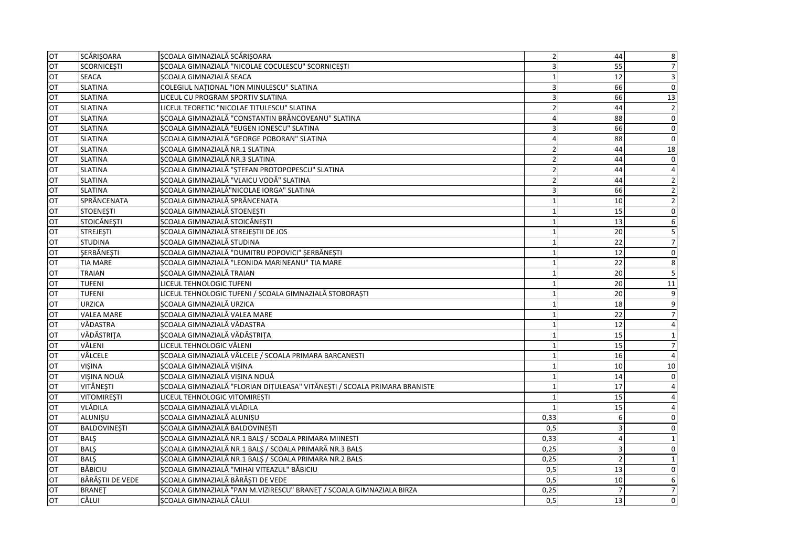| <b>OT</b> | SCĂRIȘOARA          | ȘCOALA GIMNAZIALĂ SCĂRIȘOARA                                              | $\overline{2}$ | 8<br>44                          |
|-----------|---------------------|---------------------------------------------------------------------------|----------------|----------------------------------|
| <b>OT</b> | <b>SCORNICESTI</b>  | ȘCOALA GIMNAZIALĂ "NICOLAE COCULESCU" SCORNICEȘTI                         |                | 55<br>$\overline{7}$             |
| <b>OT</b> | <b>SEACA</b>        | ȘCOALA GIMNAZIALĂ SEACA                                                   |                | 12<br>3                          |
| OT        | <b>SLATINA</b>      | COLEGIUL NATIONAL "ION MINULESCU" SLATINA                                 |                | 66<br>$\mathbf 0$                |
| OT        | <b>SLATINA</b>      | LICEUL CU PROGRAM SPORTIV SLATINA                                         | 3              | 13<br>66                         |
| OT        | <b>SLATINA</b>      | LICEUL TEORETIC "NICOLAE TITULESCU" SLATINA                               | $\overline{2}$ | 44                               |
| OT        | <b>SLATINA</b>      | ȘCOALA GIMNAZIALĂ "CONSTANTIN BRÂNCOVEANU" SLATINA                        | 4              | 88<br>$\mathbf 0$                |
| OT        | <b>SLATINA</b>      | ȘCOALA GIMNAZIALĂ "EUGEN IONESCU" SLATINA                                 | 3              | 66<br>$\mathbf 0$                |
| OT        | <b>SLATINA</b>      | ȘCOALA GIMNAZIALĂ "GEORGE POBORAN" SLATINA                                | 4              | 88<br>$\mathbf 0$                |
| OT        | <b>SLATINA</b>      | ȘCOALA GIMNAZIALĂ NR.1 SLATINA                                            | 2              | 44<br>18                         |
| OT        | <b>SLATINA</b>      | ȘCOALA GIMNAZIALĂ NR.3 SLATINA                                            |                | 44<br>$\Omega$                   |
| OT        | <b>SLATINA</b>      | ȘCOALA GIMNAZIALĂ "ȘTEFAN PROTOPOPESCU" SLATINA                           |                | 44<br>4                          |
| OT        | <b>SLATINA</b>      | SCOALA GIMNAZIALĂ "VLAICU VODĂ" SLATINA                                   | $\overline{2}$ | 44<br>$\overline{2}$             |
| OT        | <b>SLATINA</b>      | SCOALA GIMNAZIALĂ"NICOLAE IORGA" SLATINA                                  |                | 66                               |
| OT        | <b>SPRÂNCENATA</b>  | SCOALA GIMNAZIALĂ SPRÂNCENATA                                             | $\overline{1}$ | 10<br>2                          |
| OT        | <b>STOENESTI</b>    | ȘCOALA GIMNAZIALĂ STOENEȘTI                                               | $\mathbf{1}$   | 15<br>$\Omega$                   |
| OT        | <b>STOICĂNEȘTI</b>  | ȘCOALA GIMNAZIALĂ STOICĂNEȘTI                                             |                | 13<br>6                          |
| OT        | <b>STREJESTI</b>    | ȘCOALA GIMNAZIALĂ STREJEȘTII DE JOS                                       |                | 20<br>5                          |
| OT        | <b>STUDINA</b>      | ȘCOALA GIMNAZIALĂ STUDINA                                                 |                | 22<br>7                          |
| OT        | <b>ŞERBĂNEŞTI</b>   | ȘCOALA GIMNAZIALĂ "DUMITRU POPOVICI" ȘERBĂNEȘTI                           |                | 12<br>0                          |
| OT        | <b>TIA MARE</b>     | ȘCOALA GIMNAZIALĂ "LEONIDA MARINEANU" TIA MARE                            |                | 22<br>8                          |
| OT        | <b>TRAIAN</b>       | ȘCOALA GIMNAZIALĂ TRAIAN                                                  |                | 20                               |
| OT        | <b>TUFENI</b>       | LICEUL TEHNOLOGIC TUFENI                                                  | $\mathbf{1}$   | 20<br>11                         |
| OT        | <b>TUFENI</b>       | LICEUL TEHNOLOGIC TUFENI / ȘCOALA GIMNAZIALĂ STOBORAȘTI                   |                | 20                               |
| OT        | <b>URZICA</b>       | ȘCOALA GIMNAZIALĂ URZICA                                                  |                | 18<br>9                          |
| OT        | <b>VALEA MARE</b>   | ȘCOALA GIMNAZIALĂ VALEA MARE                                              |                | 22                               |
| OT        | VĂDASTRA            | ȘCOALA GIMNAZIALĂ VĂDASTRA                                                |                | 12<br>4                          |
| OT        | VĂDĂSTRIȚA          | ȘCOALA GIMNAZIALĂ VĂDĂSTRIȚA                                              |                | 15<br>1                          |
| OT        | VĂLENI              | LICEUL TEHNOLOGIC VĂLENI                                                  | $\mathbf{1}$   | 15<br>7                          |
| OT        | VÂLCELE             | SCOALA GIMNAZIALĂ VÂLCELE / SCOALA PRIMARA BARCANESTI                     | $\mathbf{1}$   | 16                               |
| OT        | <b>VIŞINA</b>       | ȘCOALA GIMNAZIALĂ VIȘINA                                                  |                | 10<br>10                         |
| OT        | VIŞINA NOUĂ         | ȘCOALA GIMNAZIALĂ VIȘINA NOUĂ                                             |                | 14<br>$\mathbf 0$                |
| OT        | VITĂNEȘTI           | ȘCOALA GIMNAZIALĂ "FLORIAN DIȚULEASA" VITĂNEȘTI / SCOALA PRIMARA BRANISTE |                | 17<br>4                          |
| OT        | <b>VITOMIRESTI</b>  | LICEUL TEHNOLOGIC VITOMIRESTI                                             |                | 15                               |
| OT        | VLĂDILA             | ȘCOALA GIMNAZIALĂ VLĂDILA                                                 |                | 15                               |
| <b>OT</b> | ALUNIŞU             | ȘCOALA GIMNAZIALĂ ALUNIȘU                                                 | 0,33           | 6<br>0                           |
| <b>OT</b> | <b>BALDOVINESTI</b> | ȘCOALA GIMNAZIALĂ BALDOVINEȘTI                                            | 0,5            | 3<br>$\Omega$                    |
| OT        | <b>BALS</b>         | SCOALA GIMNAZIALĂ NR.1 BALȘ / SCOALA PRIMARA MIINESTI                     | 0,33           | $\Delta$                         |
| OT        | <b>BALS</b>         | ȘCOALA GIMNAZIALĂ NR.1 BALȘ / SCOALA PRIMARĂ NR.3 BALS                    | 0,25           | 3<br>0                           |
| OT        | <b>BALS</b>         | ȘCOALA GIMNAZIALĂ NR.1 BALȘ / SCOALA PRIMARA NR.2 BALS                    | 0,25           | $\overline{2}$                   |
| OT        | <b>BĂBICIU</b>      | ȘCOALA GIMNAZIALĂ "MIHAI VITEAZUL" BĂBICIU                                | 0,5            | 13<br>$\Omega$                   |
| OT        | BĂRĂȘTII DE VEDE    | ȘCOALA GIMNAZIALĂ BĂRĂȘTI DE VEDE                                         | 0.5            | 10<br>6                          |
| OT        | <b>BRANET</b>       | ȘCOALA GIMNAZIALĂ "PAN M.VIZIRESCU" BRANEȚ / SCOALA GIMNAZIALA BIRZA      | 0,25           | $\overline{7}$<br>$\overline{7}$ |
| <b>OT</b> | <b>CĂLUI</b>        | SCOALA GIMNAZIALĂ CĂLUI                                                   | 0,5            | 13<br>$\mathbf 0$                |